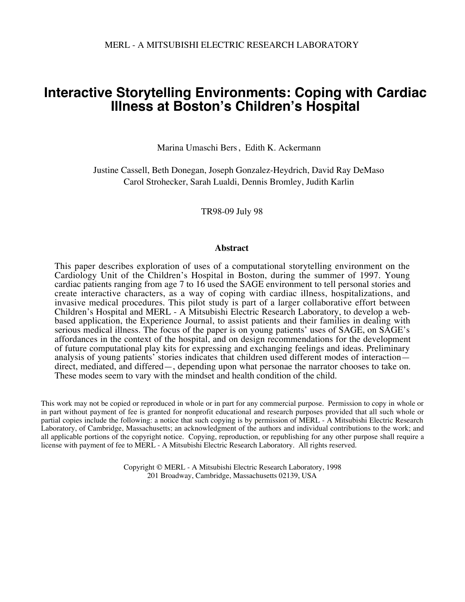# **Interactive Storytelling Environments: Coping with Cardiac Illness at Boston's Children's Hospital**

Marina Umaschi Bers, Edith K. Ackermann

Justine Cassell, Beth Donegan, Joseph Gonzalez-Heydrich, David Ray DeMaso Carol Strohecker, Sarah Lualdi, Dennis Bromley, Judith Karlin

TR98-09 July 98

### **Abstract**

This paper describes exploration of uses of a computational storytelling environment on the Cardiology Unit of the Children's Hospital in Boston, during the summer of 1997. Young cardiac patients ranging from age 7 to 16 used the SAGE environment to tell personal stories and create interactive characters, as a way of coping with cardiac illness, hospitalizations, and invasive medical procedures. This pilot study is part of a larger collaborative effort between Children's Hospital and MERL - A Mitsubishi Electric Research Laboratory, to develop a webbased application, the Experience Journal, to assist patients and their families in dealing with serious medical illness. The focus of the paper is on young patients' uses of SAGE, on SAGE's affordances in the context of the hospital, and on design recommendations for the development of future computational play kits for expressing and exchanging feelings and ideas. Preliminary analysis of young patients' stories indicates that children used different modes of interaction direct, mediated, and differed—, depending upon what personae the narrator chooses to take on. These modes seem to vary with the mindset and health condition of the child.

This work may not be copied or reproduced in whole or in part for any commercial purpose. Permission to copy in whole or in part without payment of fee is granted for nonprofit educational and research purposes provided that all such whole or partial copies include the following: a notice that such copying is by permission of MERL - A Mitsubishi Electric Research Laboratory, of Cambridge, Massachusetts; an acknowledgment of the authors and individual contributions to the work; and all applicable portions of the copyright notice. Copying, reproduction, or republishing for any other purpose shall require a license with payment of fee to MERL - A Mitsubishi Electric Research Laboratory. All rights reserved.

> Copyright © MERL - A Mitsubishi Electric Research Laboratory, 1998 201 Broadway, Cambridge, Massachusetts 02139, USA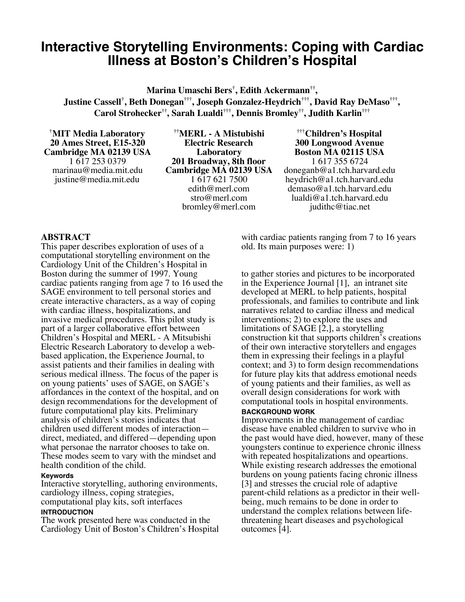# **Interactive Storytelling Environments: Coping with Cardiac Illness at Boston's Children's Hospital**

**Marina Umaschi Bers† , Edith Ackermann††,**

**Justine Cassell† , Beth Donegan†††, Joseph Gonzalez-Heydrich†††, David Ray DeMaso†††, Carol Strohecker††, Sarah Lualdi†††, Dennis Bromley††, Judith Karlin†††**

**† MIT Media Laboratory 20 Ames Street, E15-320 Cambridge MA 02139 USA** 1 617 253 0379 marinau@media.mit.edu justine@media.mit.edu

**††MERL - A Mistubishi Electric Research Laboratory 201 Broadway, 8th floor Cambridge MA 02139 USA** 1 617 621 7500 edith@merl.com stro@merl.com bromley@merl.com

### **†††Children's Hospital 300 Longwood Avenue Boston MA 02115 USA** 1 617 355 6724

doneganb@a1.tch.harvard.edu heydrich@a1.tch.harvard.edu demaso@a1.tch.harvard.edu lualdi@a1.tch.harvard.edu judithc@tiac.net

# **ABSTRACT**

This paper describes exploration of uses of a computational storytelling environment on the Cardiology Unit of the Children's Hospital in Boston during the summer of 1997. Young cardiac patients ranging from age 7 to 16 used the SAGE environment to tell personal stories and create interactive characters, as a way of coping with cardiac illness, hospitalizations, and invasive medical procedures. This pilot study is part of a larger collaborative effort between Children's Hospital and MERL - A Mitsubishi Electric Research Laboratory to develop a webbased application, the Experience Journal, to assist patients and their families in dealing with serious medical illness. The focus of the paper is on young patients' uses of SAGE, on SAGE's affordances in the context of the hospital, and on design recommendations for the development of future computational play kits. Preliminary analysis of children's stories indicates that children used different modes of interaction direct, mediated, and differed—depending upon what personae the narrator chooses to take on. These modes seem to vary with the mindset and health condition of the child.

#### **Keywords**

Interactive storytelling, authoring environments, cardiology illness, coping strategies,

computational play kits, soft interfaces

#### **INTRODUCTION**

The work presented here was conducted in the Cardiology Unit of Boston's Children's Hospital with cardiac patients ranging from 7 to 16 years old. Its main purposes were: 1)

to gather stories and pictures to be incorporated in the Experience Journal [1], an intranet site developed at MERL to help patients, hospital professionals, and families to contribute and link narratives related to cardiac illness and medical interventions; 2) to explore the uses and limitations of SAGE [2,], a storytelling construction kit that supports children's creations of their own interactive storytellers and engages them in expressing their feelings in a playful context; and 3) to form design recommendations for future play kits that address emotional needs of young patients and their families, as well as overall design considerations for work with computational tools in hospital environments.

## **BACKGROUND WORK**

Improvements in the management of cardiac disease have enabled children to survive who in the past would have died, however, many of these youngsters continue to experience chronic illness with repeated hospitalizations and opeartions. While existing research addresses the emotional burdens on young patients facing chronic illness [3] and stresses the crucial role of adaptive parent-child relations as a predictor in their wellbeing, much remains to be done in order to understand the complex relations between lifethreatening heart diseases and psychological outcomes [4].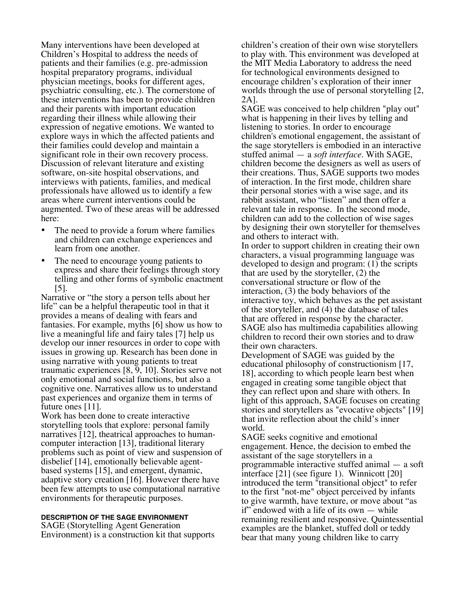Many interventions have been developed at Children's Hospital to address the needs of patients and their families (e.g. pre-admission hospital preparatory programs, individual physician meetings, books for different ages, psychiatric consulting, etc.). The cornerstone of these interventions has been to provide children and their parents with important education regarding their illness while allowing their expression of negative emotions. We wanted to explore ways in which the affected patients and their families could develop and maintain a significant role in their own recovery process. Discussion of relevant literature and existing software, on-site hospital observations, and interviews with patients, families, and medical professionals have allowed us to identify a few areas where current interventions could be augmented. Two of these areas will be addressed here:

- The need to provide a forum where families and children can exchange experiences and learn from one another.
- The need to encourage young patients to express and share their feelings through story telling and other forms of symbolic enactment  $|5|$ .

Narrative or "the story a person tells about her life" can be a helpful therapeutic tool in that it provides a means of dealing with fears and fantasies. For example, myths [6] show us how to live a meaningful life and fairy tales [7] help us develop our inner resources in order to cope with issues in growing up. Research has been done in using narrative with young patients to treat traumatic experiences [8, 9, 10]. Stories serve not only emotional and social functions, but also a cognitive one. Narratives allow us to understand past experiences and organize them in terms of future ones [11].

Work has been done to create interactive storytelling tools that explore: personal family narratives [12], theatrical approaches to humancomputer interaction [13], traditional literary problems such as point of view and suspension of disbelief [14], emotionally believable agentbased systems [15], and emergent, dynamic, adaptive story creation [16]. However there have been few attempts to use computational narrative environments for therapeutic purposes.

#### **DESCRIPTION OF THE SAGE ENVIRONMENT**

SAGE (Storytelling Agent Generation Environment) is a construction kit that supports children's creation of their own wise storytellers to play with. This environment was developed at the MIT Media Laboratory to address the need for technological environments designed to encourage children's exploration of their inner worlds through the use of personal storytelling [2, 2A].

SAGE was conceived to help children "play out" what is happening in their lives by telling and listening to stories. In order to encourage children's emotional engagement, the assistant of the sage storytellers is embodied in an interactive stuffed animal — a *soft interface*. With SAGE, children become the designers as well as users of their creations. Thus, SAGE supports two modes of interaction. In the first mode, children share their personal stories with a wise sage, and its rabbit assistant, who "listen" and then offer a relevant tale in response. In the second mode, children can add to the collection of wise sages by designing their own storyteller for themselves and others to interact with.

In order to support children in creating their own characters, a visual programming language was developed to design and program: (1) the scripts that are used by the storyteller, (2) the conversational structure or flow of the interaction, (3) the body behaviors of the interactive toy, which behaves as the pet assistant of the storyteller, and (4) the database of tales that are offered in response by the character. SAGE also has multimedia capabilities allowing children to record their own stories and to draw their own characters.

Development of SAGE was guided by the educational philosophy of constructionism [17, 18], according to which people learn best when engaged in creating some tangible object that they can reflect upon and share with others. In light of this approach, SAGE focuses on creating stories and storytellers as "evocative objects" [19] that invite reflection about the child's inner world.

SAGE seeks cognitive and emotional engagement. Hence, the decision to embed the assistant of the sage storytellers in a programmable interactive stuffed animal — a soft interface [21] (see figure 1). Winnicott [20] introduced the term "transitional object" to refer to the first "not-me" object perceived by infants to give warmth, have texture, or move about "as if" endowed with a life of its own — while remaining resilient and responsive. Quintessential examples are the blanket, stuffed doll or teddy bear that many young children like to carry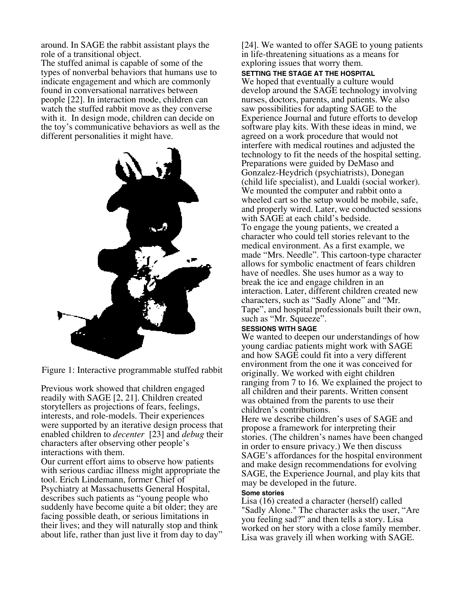around. In SAGE the rabbit assistant plays the role of a transitional object.

The stuffed animal is capable of some of the types of nonverbal behaviors that humans use to indicate engagement and which are commonly found in conversational narratives between people [22]. In interaction mode, children can watch the stuffed rabbit move as they converse with it. In design mode, children can decide on the toy's communicative behaviors as well as the different personalities it might have.



Figure 1: Interactive programmable stuffed rabbit

Previous work showed that children engaged readily with SAGE [2, 21]. Children created storytellers as projections of fears, feelings, interests, and role-models. Their experiences were supported by an iterative design process that enabled children to *decenter* [23] and *debug* their characters after observing other people's interactions with them.

Our current effort aims to observe how patients with serious cardiac illness might appropriate the tool. Erich Lindemann, former Chief of Psychiatry at Massachusetts General Hospital, describes such patients as "young people who suddenly have become quite a bit older; they are facing possible death, or serious limitations in their lives; and they will naturally stop and think about life, rather than just live it from day to day"

[24]. We wanted to offer SAGE to young patients in life-threatening situations as a means for exploring issues that worry them.

**SETTING THE STAGE AT THE HOSPITAL**

We hoped that eventually a culture would develop around the SAGE technology involving nurses, doctors, parents, and patients. We also saw possibilities for adapting SAGE to the Experience Journal and future efforts to develop software play kits. With these ideas in mind, we agreed on a work procedure that would not interfere with medical routines and adjusted the technology to fit the needs of the hospital setting. Preparations were guided by DeMaso and Gonzalez-Heydrich (psychiatrists), Donegan (child life specialist), and Lualdi (social worker). We mounted the computer and rabbit onto a wheeled cart so the setup would be mobile, safe, and properly wired. Later, we conducted sessions with SAGE at each child's bedside. To engage the young patients, we created a character who could tell stories relevant to the medical environment. As a first example, we made "Mrs. Needle". This cartoon-type character allows for symbolic enactment of fears children have of needles. She uses humor as a way to break the ice and engage children in an interaction. Later, different children created new characters, such as "Sadly Alone" and "Mr. Tape", and hospital professionals built their own, such as "Mr. Squeeze".

#### **SESSIONS WITH SAGE**

We wanted to deepen our understandings of how young cardiac patients might work with SAGE and how SAGE could fit into a very different environment from the one it was conceived for originally. We worked with eight children ranging from 7 to 16. We explained the project to all children and their parents. Written consent was obtained from the parents to use their children's contributions.

Here we describe children's uses of SAGE and propose a framework for interpreting their stories. (The children's names have been changed in order to ensure privacy.) We then discuss SAGE's affordances for the hospital environment and make design recommendations for evolving SAGE, the Experience Journal, and play kits that may be developed in the future.

#### **Some stories**

Lisa (16) created a character (herself) called "Sadly Alone." The character asks the user, "Are you feeling sad?" and then tells a story. Lisa worked on her story with a close family member. Lisa was gravely ill when working with SAGE.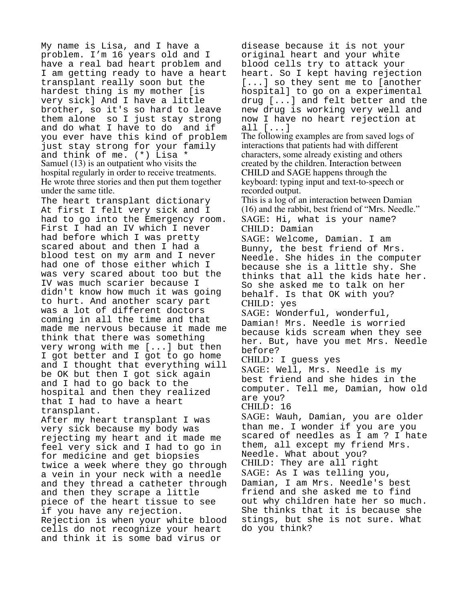My name is Lisa, and I have a problem. I'm 16 years old and I have a real bad heart problem and I am getting ready to have a heart transplant really soon but the hardest thing is my mother [is very sick] And I have a little brother, so it's so hard to leave them alone so I just stay strong and do what I have to do and if you ever have this kind of problem just stay strong for your family and think of me. (\*) Lisa \* Samuel (13) is an outpatient who visits the hospital regularly in order to receive treatments. He wrote three stories and then put them together under the same title.

The heart transplant dictionary At first I felt very sick and I had to go into the Emergency room. First I had an IV which I never had before which I was pretty scared about and then I had a blood test on my arm and I never had one of those either which I was very scared about too but the IV was much scarier because I didn't know how much it was going to hurt. And another scary part was a lot of different doctors coming in all the time and that made me nervous because it made me think that there was something very wrong with me [...] but then I got better and I got to go home and I thought that everything will be OK but then I got sick again and I had to go back to the hospital and then they realized that I had to have a heart transplant.

After my heart transplant I was very sick because my body was rejecting my heart and it made me feel very sick and I had to go in for medicine and get biopsies twice a week where they go through a vein in your neck with a needle and they thread a catheter through and then they scrape a little piece of the heart tissue to see if you have any rejection. Rejection is when your white blood cells do not recognize your heart and think it is some bad virus or

disease because it is not your original heart and your white blood cells try to attack your heart. So I kept having rejection [...] so they sent me to [another hospital] to go on a experimental drug [...] and felt better and the new drug is working very well and now I have no heart rejection at all [...] The following examples are from saved logs of interactions that patients had with different characters, some already existing and others created by the children. Interaction between CHILD and SAGE happens through the keyboard: typing input and text-to-speech or recorded output. This is a log of an interaction between Damian (16) and the rabbit, best friend of "Mrs. Needle." SAGE: Hi, what is your name? CHILD: Damian SAGE: Welcome, Damian. I am Bunny, the best friend of Mrs. Needle. She hides in the computer because she is a little shy. She thinks that all the kids hate her. So she asked me to talk on her behalf. Is that OK with you? CHILD: yes SAGE: Wonderful, wonderful, Damian! Mrs. Needle is worried because kids scream when they see her. But, have you met Mrs. Needle before? CHILD: I guess yes SAGE: Well, Mrs. Needle is my best friend and she hides in the computer. Tell me, Damian, how old are you? CHILD: 16 SAGE: Wauh, Damian, you are older than me. I wonder if you are you scared of needles as I am ? I hate them, all except my friend Mrs. Needle. What about you? CHILD: They are all right SAGE: As I was telling you, Damian, I am Mrs. Needle's best friend and she asked me to find out why children hate her so much. She thinks that it is because she stings, but she is not sure. What do you think?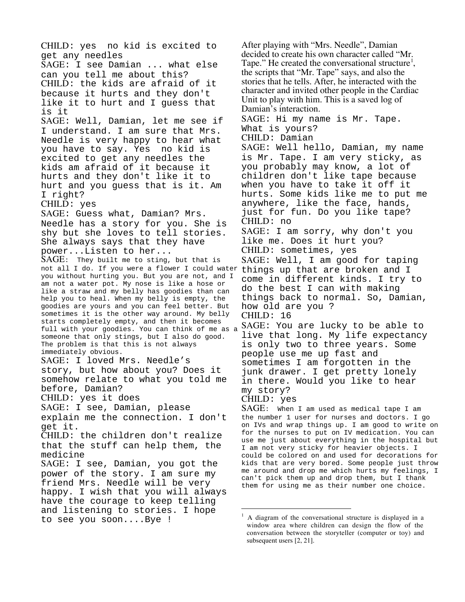CHILD: yes no kid is excited to get any needles SAGE: I see Damian ... what else can you tell me about this? CHILD: the kids are afraid of it because it hurts and they don't like it to hurt and I guess that is it SAGE: Well, Damian, let me see if I understand. I am sure that Mrs. Needle is very happy to hear what you have to say. Yes no kid is excited to get any needles the kids am afraid of it because it hurts and they don't like it to hurt and you guess that is it. Am I right? CHILD: yes SAGE: Guess what, Damian? Mrs. Needle has a story for you. She is shy but she loves to tell stories. She always says that they have power...Listen to her... SAGE: They built me to sting, but that is not all I do. If you were a flower I could water you without hurting you. But you are not, and I am not a water pot. My nose is like a hose or like a straw and my belly has goodies than can help you to heal. When my belly is empty, the goodies are yours and you can feel better. But sometimes it is the other way around. My belly starts completely empty, and then it becomes full with your goodies. You can think of me as a someone that only stings, but I also do good. The problem is that this is not always immediately obvious. SAGE: I loved Mrs. Needle's story, but how about you? Does it somehow relate to what you told me before, Damian? CHILD: yes it does SAGE: I see, Damian, please explain me the connection. I don't get it. CHILD: the children don't realize that the stuff can help them, the medicine SAGE: I see, Damian, you got the power of the story. I am sure my friend Mrs. Needle will be very happy. I wish that you will always have the courage to keep telling and listening to stories. I hope to see you soon....Bye !

After playing with "Mrs. Needle", Damian decided to create his own character called "Mr. Tape." He created the conversational structure<sup>1</sup>, the scripts that "Mr. Tape" says, and also the stories that he tells. After, he interacted with the character and invited other people in the Cardiac Unit to play with him. This is a saved log of Damian's interaction. SAGE: Hi my name is Mr. Tape. What is yours? CHILD: Damian SAGE: Well hello, Damian, my name is Mr. Tape. I am very sticky, as you probably may know, a lot of children don't like tape because when you have to take it off it hurts. Some kids like me to put me anywhere, like the face, hands, just for fun. Do you like tape? CHILD: no SAGE: I am sorry, why don't you like me. Does it hurt you? CHILD: sometimes, yes SAGE: Well, I am good for taping things up that are broken and I come in different kinds. I try to do the best I can with making things back to normal. So, Damian, how old are you ? CHILD: 16 SAGE: You are lucky to be able to live that long. My life expectancy is only two to three years. Some people use me up fast and sometimes I am forgotten in the junk drawer. I get pretty lonely in there. Would you like to hear my story? CHILD: yes SAGE: When I am used as medical tape I am the number 1 user for nurses and doctors. I go on IVs and wrap things up. I am good to write on for the nurses to put on IV medication. You can use me just about everything in the hospital but I am not very sticky for heavier objects. I could be colored on and used for decorations for kids that are very bored. Some people just throw me around and drop me which hurts my feelings, I can't pick them up and drop them, but I thank them for using me as their number one choice.

 $\overline{a}$ 

<sup>1</sup> A diagram of the conversational structure is displayed in a window area where children can design the flow of the conversation between the storyteller (computer or toy) and subsequent users [2, 21].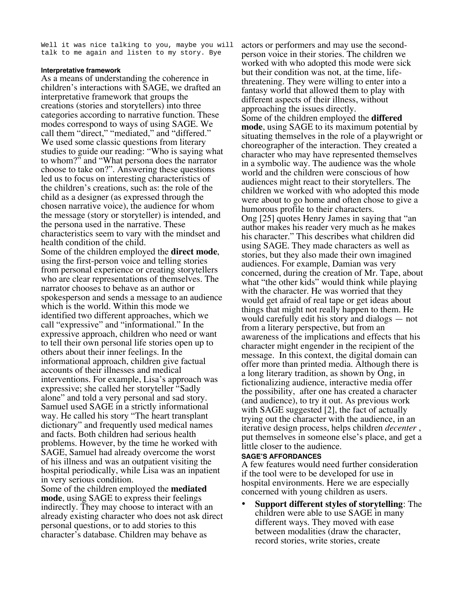Well it was nice talking to you, maybe you will talk to me again and listen to my story. Bye

#### **Interpretative framework**

As a means of understanding the coherence in children's interactions with SAGE, we drafted an interpretative framework that groups the creations (stories and storytellers) into three categories according to narrative function. These modes correspond to ways of using SAGE. We call them "direct," "mediated," and "differed." We used some classic questions from literary studies to guide our reading: "Who is saying what to whom?" and "What persona does the narrator choose to take on?". Answering these questions led us to focus on interesting characteristics of the children's creations, such as: the role of the child as a designer (as expressed through the chosen narrative voice), the audience for whom the message (story or storyteller) is intended, and the persona used in the narrative. These characteristics seem to vary with the mindset and health condition of the child. Some of the children employed the **direct mode**, using the first-person voice and telling stories from personal experience or creating storytellers who are clear representations of themselves. The narrator chooses to behave as an author or spokesperson and sends a message to an audience which is the world. Within this mode we identified two different approaches, which we call "expressive" and "informational." In the expressive approach, children who need or want to tell their own personal life stories open up to others about their inner feelings. In the informational approach, children give factual accounts of their illnesses and medical interventions. For example, Lisa's approach was expressive; she called her storyteller "Sadly alone" and told a very personal and sad story. Samuel used SAGE in a strictly informational way. He called his story "The heart transplant dictionary" and frequently used medical names and facts. Both children had serious health problems. However, by the time he worked with SAGE, Samuel had already overcome the worst of his illness and was an outpatient visiting the hospital periodically, while Lisa was an inpatient in very serious condition.

Some of the children employed the **mediated mode**, using SAGE to express their feelings indirectly. They may choose to interact with an already existing character who does not ask direct personal questions, or to add stories to this character's database. Children may behave as

actors or performers and may use the secondperson voice in their stories. The children we worked with who adopted this mode were sick but their condition was not, at the time, lifethreatening. They were willing to enter into a fantasy world that allowed them to play with different aspects of their illness, without approaching the issues directly. Some of the children employed the **differed mode**, using SAGE to its maximum potential by situating themselves in the role of a playwright or choreographer of the interaction. They created a character who may have represented themselves in a symbolic way. The audience was the whole world and the children were conscious of how audiences might react to their storytellers. The children we worked with who adopted this mode were about to go home and often chose to give a humorous profile to their characters. Ong [25] quotes Henry James in saying that "an author makes his reader very much as he makes his character." This describes what children did using SAGE. They made characters as well as stories, but they also made their own imagined audiences. For example, Damian was very concerned, during the creation of Mr. Tape, about what "the other kids" would think while playing with the character. He was worried that they would get afraid of real tape or get ideas about things that might not really happen to them. He would carefully edit his story and dialogs — not from a literary perspective, but from an awareness of the implications and effects that his character might engender in the recipient of the message. In this context, the digital domain can offer more than printed media. Although there is a long literary tradition, as shown by Ong, in fictionalizing audience, interactive media offer the possibility, after one has created a character (and audience), to try it out. As previous work with SAGE suggested [2], the fact of actually trying out the character with the audience, in an iterative design process, helps children *decenter* , put themselves in someone else's place, and get a little closer to the audience.

#### **SAGE'S AFFORDANCES**

A few features would need further consideration if the tool were to be developed for use in hospital environments. Here we are especially concerned with young children as users.

• **Support different styles of storytelling**: The children were able to use SAGE in many different ways. They moved with ease between modalities (draw the character, record stories, write stories, create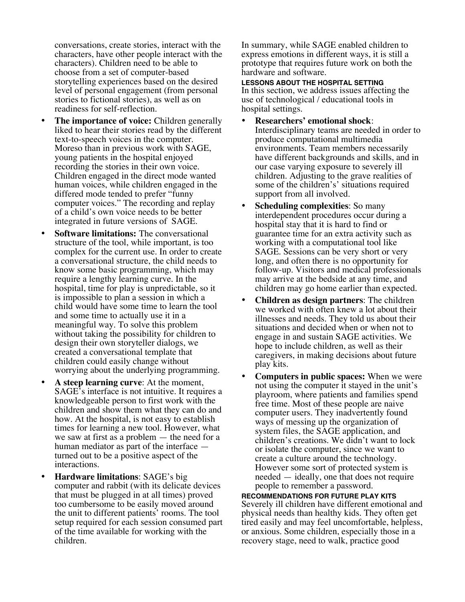conversations, create stories, interact with the characters, have other people interact with the characters). Children need to be able to choose from a set of computer-based storytelling experiences based on the desired level of personal engagement (from personal stories to fictional stories), as well as on readiness for self-reflection.

- **The importance of voice:** Children generally liked to hear their stories read by the different text-to-speech voices in the computer. Moreso than in previous work with SAGE, young patients in the hospital enjoyed recording the stories in their own voice. Children engaged in the direct mode wanted human voices, while children engaged in the differed mode tended to prefer "funny computer voices." The recording and replay of a child's own voice needs to be better integrated in future versions of SAGE.
- **Software limitations:** The conversational structure of the tool, while important, is too complex for the current use. In order to create a conversational structure, the child needs to know some basic programming, which may require a lengthy learning curve. In the hospital, time for play is unpredictable, so it is impossible to plan a session in which a child would have some time to learn the tool and some time to actually use it in a meaningful way. To solve this problem without taking the possibility for children to design their own storyteller dialogs, we created a conversational template that children could easily change without worrying about the underlying programming.
- **A steep learning curve**: At the moment, SAGE's interface is not intuitive. It requires a knowledgeable person to first work with the children and show them what they can do and how. At the hospital, is not easy to establish times for learning a new tool. However, what we saw at first as a problem — the need for a human mediator as part of the interface turned out to be a positive aspect of the interactions.
- **Hardware limitations**: SAGE's big computer and rabbit (with its delicate devices that must be plugged in at all times) proved too cumbersome to be easily moved around the unit to different patients' rooms. The tool setup required for each session consumed part of the time available for working with the children.

In summary, while SAGE enabled children to express emotions in different ways, it is still a prototype that requires future work on both the hardware and software.

**LESSONS ABOUT THE HOSPITAL SETTING** In this section, we address issues affecting the use of technological / educational tools in hospital settings.

- **Researchers' emotional shock**: Interdisciplinary teams are needed in order to produce computational multimedia environments. Team members necessarily have different backgrounds and skills, and in our case varying exposure to severely ill children. Adjusting to the grave realities of some of the children's' situations required support from all involved.
- **Scheduling complexities**: So many interdependent procedures occur during a hospital stay that it is hard to find or guarantee time for an extra activity such as working with a computational tool like SAGE. Sessions can be very short or very long, and often there is no opportunity for follow-up. Visitors and medical professionals may arrive at the bedside at any time, and children may go home earlier than expected.
- **Children as design partners**: The children we worked with often knew a lot about their illnesses and needs. They told us about their situations and decided when or when not to engage in and sustain SAGE activities. We hope to include children, as well as their caregivers, in making decisions about future play kits.
- **Computers in public spaces:** When we were not using the computer it stayed in the unit's playroom, where patients and families spend free time. Most of these people are naive computer users. They inadvertently found ways of messing up the organization of system files, the SAGE application, and children's creations. We didn't want to lock or isolate the computer, since we want to create a culture around the technology. However some sort of protected system is needed — ideally, one that does not require people to remember a password.

**RECOMMENDATIONS FOR FUTURE PLAY KITS** Severely ill children have different emotional and physical needs than healthy kids. They often get tired easily and may feel uncomfortable, helpless, or anxious. Some children, especially those in a recovery stage, need to walk, practice good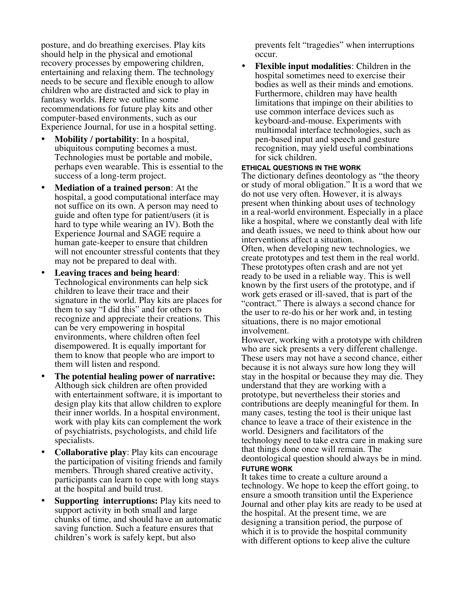posture, and do breathing exercises. Play kits should help in the physical and emotional recovery processes by empowering children, entertaining and relaxing them. The technology needs to be secure and flexible enough to allow children who are distracted and sick to play in fantasy worlds. Here we outline some recommendations for future play kits and other computer-based environments, such as our Experience Journal, for use in a hospital setting.

- **Mobility / portability**: In a hospital, ubiquitous computing becomes a must. Technologies must be portable and mobile, perhaps even wearable. This is essential to the success of a long-term project.
- **Mediation of a trained person**: At the hospital, a good computational interface may not suffice on its own. A person may need to guide and often type for patient/users (it is hard to type while wearing an IV). Both the Experience Journal and SAGE require a human gate-keeper to ensure that children will not encounter stressful contents that they may not be prepared to deal with.
- **Leaving traces and being heard**: Technological environments can help sick children to leave their trace and their signature in the world. Play kits are places for them to say "I did this" and for others to recognize and appreciate their creations. This can be very empowering in hospital environments, where children often feel disempowered. It is equally important for them to know that people who are import to them will listen and respond.
- **The potential healing power of narrative:** Although sick children are often provided with entertainment software, it is important to design play kits that allow children to explore their inner worlds. In a hospital environment, work with play kits can complement the work of psychiatrists, psychologists, and child life specialists.
- **Collaborative play**: Play kits can encourage the participation of visiting friends and family members. Through shared creative activity, participants can learn to cope with long stays at the hospital and build trust.
- **Supporting interruptions:** Play kits need to support activity in both small and large chunks of time, and should have an automatic saving function. Such a feature ensures that children's work is safely kept, but also

prevents felt "tragedies" when interruptions occur.

• **Flexible input modalities**: Children in the hospital sometimes need to exercise their bodies as well as their minds and emotions. Furthermore, children may have health limitations that impinge on their abilities to use common interface devices such as keyboard-and-mouse. Experiments with multimodal interface technologies, such as pen-based input and speech and gesture recognition, may yield useful combinations for sick children.

## **ETHICAL QUESTIONS IN THE WORK**

The dictionary defines deontology as "the theory or study of moral obligation." It is a word that we do not use very often. However, it is always present when thinking about uses of technology in a real-world environment. Especially in a place like a hospital, where we constantly deal with life and death issues, we need to think about how our interventions affect a situation.

Often, when developing new technologies, we create prototypes and test them in the real world. These prototypes often crash and are not yet ready to be used in a reliable way. This is well known by the first users of the prototype, and if work gets erased or ill-saved, that is part of the "contract." There is always a second chance for the user to re-do his or her work and, in testing situations, there is no major emotional involvement.

However, working with a prototype with children who are sick presents a very different challenge. These users may not have a second chance, either because it is not always sure how long they will stay in the hospital or because they may die. They understand that they are working with a prototype, but nevertheless their stories and contributions are deeply meaningful for them. In many cases, testing the tool is their unique last chance to leave a trace of their existence in the world. Designers and facilitators of the technology need to take extra care in making sure that things done once will remain. The deontological question should always be in mind.

## **FUTURE WORK**

It takes time to create a culture around a technology. We hope to keep the effort going, to ensure a smooth transition until the Experience Journal and other play kits are ready to be used at the hospital. At the present time, we are designing a transition period, the purpose of which it is to provide the hospital community with different options to keep alive the culture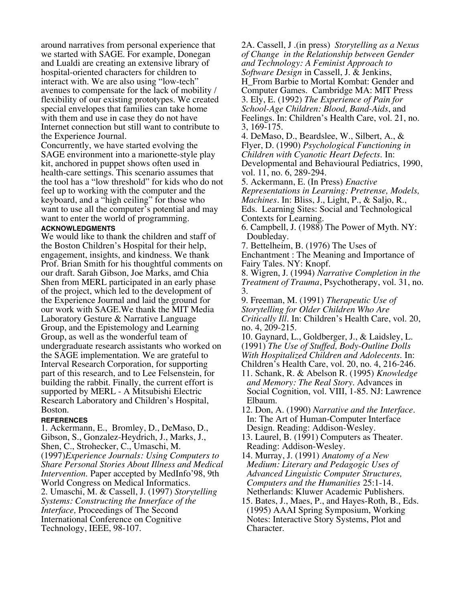around narratives from personal experience that we started with SAGE. For example, Donegan and Lualdi are creating an extensive library of hospital-oriented characters for children to interact with. We are also using "low-tech" avenues to compensate for the lack of mobility / flexibility of our existing prototypes. We created special envelopes that families can take home with them and use in case they do not have Internet connection but still want to contribute to the Experience Journal.

Concurrently, we have started evolving the SAGE environment into a marionette-style play kit, anchored in puppet shows often used in health-care settings. This scenario assumes that the tool has a "low threshold" for kids who do not feel up to working with the computer and the keyboard, and a "high ceiling" for those who want to use all the computer's potential and may want to enter the world of programming.

#### **ACKNOWLEDGMENTS**

We would like to thank the children and staff of the Boston Children's Hospital for their help, engagement, insights, and kindness. We thank Prof. Brian Smith for his thoughtful comments on our draft. Sarah Gibson, Joe Marks, amd Chia Shen from MERL participated in an early phase of the project, which led to the development of the Experience Journal and laid the ground for our work with SAGE.We thank the MIT Media Laboratory Gesture & Narrative Language Group, and the Epistemology and Learning Group, as well as the wonderful team of undergraduate research assistants who worked on the SAGE implementation. We are grateful to Interval Research Corporation, for supporting part of this research, and to Lee Felsenstein, for building the rabbit. Finally, the current effort is supported by MERL - A Mitsubishi Electric Research Laboratory and Children's Hospital, Boston.

#### **REFERENCES**

1. Ackermann, E., Bromley, D., DeMaso, D., Gibson, S., Gonzalez-Heydrich, J., Marks, J., Shen, C., Strohecker, C., Umaschi, M. (1997)*Experience Journals: Using Computers to Share Personal Stories About Illness and Medical Intervention.* Paper accepted by MedInfo'98, 9th World Congress on Medical Informatics. 2. Umaschi, M. & Cassell, J. (1997) *Storytelling Systems: Constructing the Innerface of the Interface,* Proceedings of The Second International Conference on Cognitive Technology, IEEE, 98-107.

2A. Cassell, J .(in press) *Storytelling as a Nexus of Change in the Relationship between Gender and Technology: A Feminist Approach to Software Design* in Cassell, J. & Jenkins, H\_From Barbie to Mortal Kombat: Gender and Computer Games. Cambridge MA: MIT Press 3. Ely, E. (1992) *The Experience of Pain for School-Age Children: Blood, Band-Aids*, and Feelings. In: Children's Health Care, vol. 21, no. 3, 169-175.

4. DeMaso, D., Beardslee, W., Silbert, A., & Flyer, D. (1990) *Psychological Functioning in Children with Cyanotic Heart Defects.* In: Developmental and Behavioural Pediatrics, 1990, vol. 11, no. 6, 289-294.

5. Ackermann, E. (In Press) *Enactive Representations in Learning: Pretrense, Models, Machines*. In: Bliss, J., Light, P., & Saljo, R., Eds. Learning Sites: Social and Technological Contexts for Learning.

6. Campbell, J. (1988) The Power of Myth. NY: Doubleday.

7. Bettelheim, B. (1976) The Uses of Enchantment : The Meaning and Importance of Fairy Tales. NY: Knopf.

8. Wigren, J. (1994) *Narrative Completion in the Treatment of Trauma*, Psychotherapy, vol. 31, no. 3.

9. Freeman, M. (1991) *Therapeutic Use of Storytelling for Older Children Who Are Critically Ill.* In: Children's Health Care, vol. 20, no. 4, 209-215.

10. Gaynard, L., Goldberger, J., & Laidsley, L. (1991) *The Use of Stuffed, Body-Outline Dolls With Hospitalized Children and Adolecents.* In: Children's Health Care, vol. 20, no. 4, 216-246.

11. Schank, R. & Abelson R. (1995) *Knowledge and Memory: The Real Story*. Advances in Social Cognition, vol. VIII, 1-85. NJ: Lawrence Elbaum.

12. Don, A. (1990) *Narrative and the Interface*. In: The Art of Human-Computer Interface Design. Reading: Addison-Wesley.

13. Laurel, B. (1991) Computers as Theater. Reading: Addison-Wesley.

14. Murray, J. (1991) *Anatomy of a New Medium: Literary and Pedagogic Uses of Advanced Linguistic Computer Structures, Computers and the Humanities* 25:1-14. Netherlands: Kluwer Academic Publishers.

15. Bates, J., Maes, P., and Hayes-Roth, B., Eds. (1995) AAAI Spring Symposium, Working Notes: Interactive Story Systems, Plot and Character.